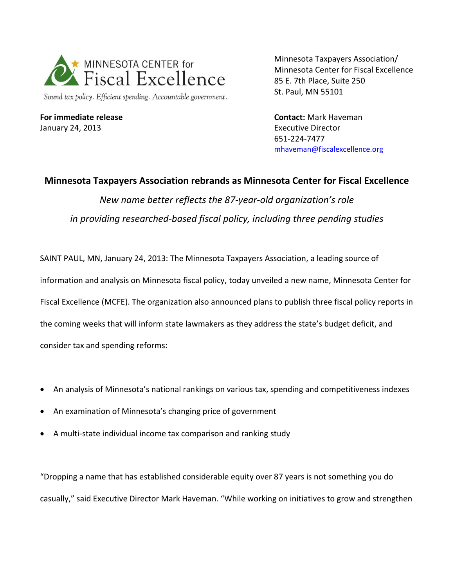

Sound tax policy. Efficient spending. Accountable government.

**For immediate release** January 24, 2013

Minnesota Taxpayers Association/ Minnesota Center for Fiscal Excellence 85 E. 7th Place, Suite 250 St. Paul, MN 55101

**Contact:** Mark Haveman Executive Director 651-224-7477 [mhaveman@fiscalexcellence.org](mailto:mhaveman@fiscalexcellence.org)

## **Minnesota Taxpayers Association rebrands as Minnesota Center for Fiscal Excellence** *New name better reflects the 87-year-old organization's role in providing researched-based fiscal policy, including three pending studies*

SAINT PAUL, MN, January 24, 2013: The Minnesota Taxpayers Association, a leading source of information and analysis on Minnesota fiscal policy, today unveiled a new name, Minnesota Center for Fiscal Excellence (MCFE). The organization also announced plans to publish three fiscal policy reports in the coming weeks that will inform state lawmakers as they address the state's budget deficit, and consider tax and spending reforms:

- An analysis of Minnesota's national rankings on various tax, spending and competitiveness indexes
- An examination of Minnesota's changing price of government
- A multi-state individual income tax comparison and ranking study

"Dropping a name that has established considerable equity over 87 years is not something you do casually," said Executive Director Mark Haveman. "While working on initiatives to grow and strengthen